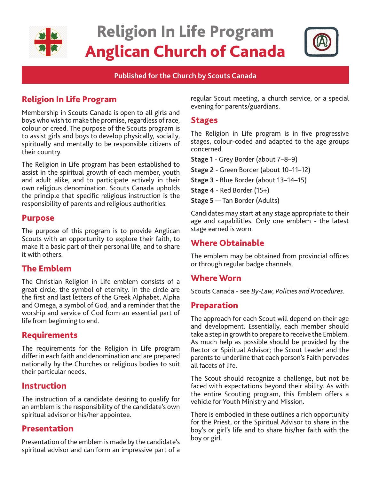

# Religion In Life Program Anglican Church of Canada



**Published for the Church by Scouts Canada**

# Religion In Life Program

Membership in Scouts Canada is open to all girls and boys who wish to make the promise, regardless of race, colour or creed. The purpose of the Scouts program is to assist girls and boys to develop physically, socially, spiritually and mentally to be responsible citizens of their country.

The Religion in Life program has been established to assist in the spiritual growth of each member, youth and adult alike, and to participate actively in their own religious denomination. Scouts Canada upholds the principle that specific religious instruction is the responsibility of parents and religious authorities.

## Purpose

The purpose of this program is to provide Anglican Scouts with an opportunity to explore their faith, to make it a basic part of their personal life, and to share it with others.

# The Emblem

The Christian Religion in Life emblem consists of a great circle, the symbol of eternity. In the circle are the first and last letters of the Greek Alphabet, Alpha and Omega, a symbol of God, and a reminder that the worship and service of God form an essential part of life from beginning to end.

## Requirements

The requirements for the Religion in Life program differ in each faith and denomination and are prepared nationally by the Churches or religious bodies to suit their particular needs.

## Instruction

The instruction of a candidate desiring to qualify for an emblem is the responsibility of the candidate's own spiritual advisor or his/her appointee.

## Presentation

Presentation of the emblem is made by the candidate's spiritual advisor and can form an impressive part of a

regular Scout meeting, a church service, or a special evening for parents/guardians.

## Stages

The Religion in Life program is in five progressive stages, colour-coded and adapted to the age groups concerned.

**Stage 1** - Grey Border (about 7–8–9)

**Stage 2** - Green Border (about 10–11–12)

**Stage 3** - Blue Border (about 13–14–15)

**Stage 4** - Red Border (15+)

**Stage 5** — Tan Border (Adults)

Candidates may start at any stage appropriate to their age and capabilities. Only one emblem - the latest stage earned is worn.

# Where Obtainable

The emblem may be obtained from provincial offices or through regular badge channels.

## Where Worn

Scouts Canada - see *By-Law, Policies and Procedures*.

## Preparation

The approach for each Scout will depend on their age and development. Essentially, each member should take a step in growth to prepare to receive the Emblem. As much help as possible should be provided by the Rector or Spiritual Advisor; the Scout Leader and the parents to underline that each person's Faith pervades all facets of life.

The Scout should recognize a challenge, but not be faced with expectations beyond their ability. As with the entire Scouting program, this Emblem offers a vehicle for Youth Ministry and Mission.

There is embodied in these outlines a rich opportunity for the Priest, or the Spiritual Advisor to share in the boy's or girl's life and to share his/her faith with the boy or girl.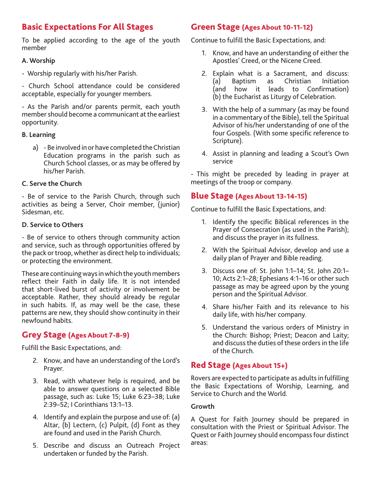# Basic Expectations For All Stages

To be applied according to the age of the youth member

#### **A. Worship**

- Worship regularly with his/her Parish.

- Church School attendance could be considered acceptable, especially for younger members.

- As the Parish and/or parents permit, each youth member should become a communicant at the earliest opportunity.

#### **B. Learning**

a) - Be involved in or have completed the Christian Education programs in the parish such as Church School classes, or as may be offered by his/her Parish.

#### **C. Serve the Church**

- Be of service to the Parish Church, through such activities as being a Server, Choir member, (junior) Sidesman, etc.

#### **D. Service to Others**

- Be of service to others through community action and service, such as through opportunities offered by the pack or troop, whether as direct help to individuals; or protecting the environment.

These are continuing ways in which the youth members reflect their Faith in daily life. It is not intended that short-lived burst of activity or involvement be acceptable. Rather, they should already be regular in such habits. If, as may well be the case, these patterns are new, they should show continuity in their newfound habits.

## Grey Stage (Ages About 7-8-9)

Fulfill the Basic Expectations, and:

- 2. Know, and have an understanding of the Lord's Prayer.
- 3. Read, with whatever help is required, and be able to answer questions on a selected Bible passage, such as: Luke 15; Luke 6:23–38; Luke 2:39–52; I Corinthians 13:1–13.
- 4. Identify and explain the purpose and use of: (a) Altar, (b) Lectern, (c) Pulpit, (d) Font as they are found and used in the Parish Church.
- 5. Describe and discuss an Outreach Project undertaken or funded by the Parish.

## Green Stage (Ages About 10-11-12)

Continue to fulfill the Basic Expectations, and:

- 1. Know, and have an understanding of either the Apostles' Creed, or the Nicene Creed.
- 2. Explain what is a Sacrament, and discuss: (a) Baptism as Christian Initiation (and how it leads to Confirmation) (b) the Eucharist as Liturgy of Celebration.
- 3. With the help of a summary (as may be found in a commentary of the Bible), tell the Spiritual Advisor of his/her understanding of one of the four Gospels. (With some specific reference to Scripture).
- 4. Assist in planning and leading a Scout's Own service

- This might be preceded by leading in prayer at meetings of the troop or company.

### Blue Stage (Ages About 13-14-15)

Continue to fulfill the Basic Expectations, and:

- 1. Identify the specific Biblical references in the Prayer of Consecration (as used in the Parish); and discuss the prayer in its fullness.
- 2. With the Spiritual Advisor, develop and use a daily plan of Prayer and Bible reading.
- 3. Discuss one of: St. John 1:1–14; St. John 20:1– 10; Acts 2:1–28; Ephesians 4:1–16 or other such passage as may be agreed upon by the young person and the Spiritual Advisor.
- 4. Share his/her Faith and its relevance to his daily life, with his/her company.
- 5. Understand the various orders of Ministry in the Church: Bishop; Priest; Deacon and Laity; and discuss the duties of these orders in the life of the Church.

## Red Stage (Ages About 15+)

Rovers are expected to participate as adults in fulfilling the Basic Expectations of Worship, Learning, and Service to Church and the World.

#### **Growth**

A Quest for Faith Journey should be prepared in consultation with the Priest or Spiritual Advisor. The Quest or Faith Journey should encompass four distinct areas: